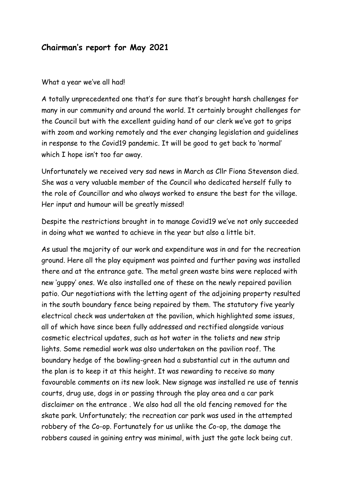## **Chairman's report for May 2021**

## What a year we've all had!

A totally unprecedented one that's for sure that's brought harsh challenges for many in our community and around the world. It certainly brought challenges for the Council but with the excellent guiding hand of our clerk we've got to grips with zoom and working remotely and the ever changing legislation and guidelines in response to the Covid19 pandemic. It will be good to get back to 'normal' which I hope isn't too far away.

Unfortunately we received very sad news in March as Cllr Fiona Stevenson died. She was a very valuable member of the Council who dedicated herself fully to the role of Councillor and who always worked to ensure the best for the village. Her input and humour will be greatly missed!

Despite the restrictions brought in to manage Covid19 we've not only succeeded in doing what we wanted to achieve in the year but also a little bit.

As usual the majority of our work and expenditure was in and for the recreation ground. Here all the play equipment was painted and further paving was installed there and at the entrance gate. The metal green waste bins were replaced with new 'guppy' ones. We also installed one of these on the newly repaired pavilion patio. Our negotiations with the letting agent of the adjoining property resulted in the south boundary fence being repaired by them. The statutory five yearly electrical check was undertaken at the pavilion, which highlighted some issues, all of which have since been fully addressed and rectified alongside various cosmetic electrical updates, such as hot water in the toliets and new strip lights. Some remedial work was also undertaken on the pavilion roof. The boundary hedge of the bowling-green had a substantial cut in the autumn and the plan is to keep it at this height. It was rewarding to receive so many favourable comments on its new look. New signage was installed re use of tennis courts, drug use, dogs in or passing through the play area and a car park disclaimer on the entrance . We also had all the old fencing removed for the skate park. Unfortunately; the recreation car park was used in the attempted robbery of the Co-op. Fortunately for us unlike the Co-op, the damage the robbers caused in gaining entry was minimal, with just the gate lock being cut.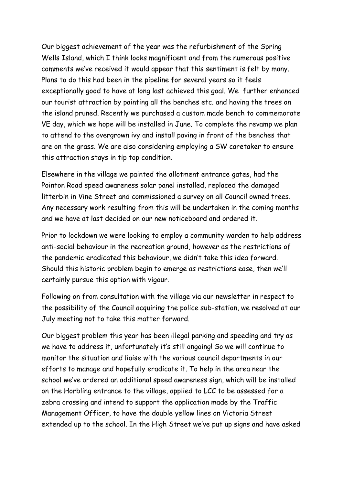Our biggest achievement of the year was the refurbishment of the Spring Wells Island, which I think looks magnificent and from the numerous positive comments we've received it would appear that this sentiment is felt by many. Plans to do this had been in the pipeline for several years so it feels exceptionally good to have at long last achieved this goal. We further enhanced our tourist attraction by painting all the benches etc. and having the trees on the island pruned. Recently we purchased a custom made bench to commemorate VE day, which we hope will be installed in June. To complete the revamp we plan to attend to the overgrown ivy and install paving in front of the benches that are on the grass. We are also considering employing a SW caretaker to ensure this attraction stays in tip top condition.

Elsewhere in the village we painted the allotment entrance gates, had the Pointon Road speed awareness solar panel installed, replaced the damaged litterbin in Vine Street and commissioned a survey on all Council owned trees. Any necessary work resulting from this will be undertaken in the coming months and we have at last decided on our new noticeboard and ordered it.

Prior to lockdown we were looking to employ a community warden to help address anti-social behaviour in the recreation ground, however as the restrictions of the pandemic eradicated this behaviour, we didn't take this idea forward. Should this historic problem begin to emerge as restrictions ease, then we'll certainly pursue this option with vigour.

Following on from consultation with the village via our newsletter in respect to the possibility of the Council acquiring the police sub-station, we resolved at our July meeting not to take this matter forward.

Our biggest problem this year has been illegal parking and speeding and try as we have to address it, unfortunately it's still ongoing! So we will continue to monitor the situation and liaise with the various council departments in our efforts to manage and hopefully eradicate it. To help in the area near the school we've ordered an additional speed awareness sign, which will be installed on the Horbling entrance to the village, applied to LCC to be assessed for a zebra crossing and intend to support the application made by the Traffic Management Officer, to have the double yellow lines on Victoria Street extended up to the school. In the High Street we've put up signs and have asked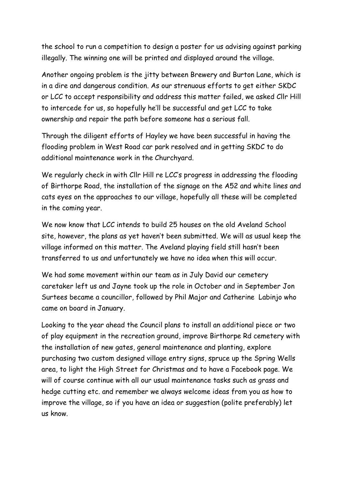the school to run a competition to design a poster for us advising against parking illegally. The winning one will be printed and displayed around the village.

Another ongoing problem is the jitty between Brewery and Burton Lane, which is in a dire and dangerous condition. As our strenuous efforts to get either SKDC or LCC to accept responsibility and address this matter failed, we asked Cllr Hill to intercede for us, so hopefully he'll be successful and get LCC to take ownership and repair the path before someone has a serious fall.

Through the diligent efforts of Hayley we have been successful in having the flooding problem in West Road car park resolved and in getting SKDC to do additional maintenance work in the Churchyard.

We regularly check in with Cllr Hill re LCC's progress in addressing the flooding of Birthorpe Road, the installation of the signage on the A52 and white lines and cats eyes on the approaches to our village, hopefully all these will be completed in the coming year.

We now know that LCC intends to build 25 houses on the old Aveland School site, however, the plans as yet haven't been submitted. We will as usual keep the village informed on this matter. The Aveland playing field still hasn't been transferred to us and unfortunately we have no idea when this will occur.

We had some movement within our team as in July David our cemetery caretaker left us and Jayne took up the role in October and in September Jon Surtees became a councillor, followed by Phil Major and Catherine Labinjo who came on board in January.

Looking to the year ahead the Council plans to install an additional piece or two of play equipment in the recreation ground, improve Birthorpe Rd cemetery with the installation of new gates, general maintenance and planting, explore purchasing two custom designed village entry signs, spruce up the Spring Wells area, to light the High Street for Christmas and to have a Facebook page. We will of course continue with all our usual maintenance tasks such as grass and hedge cutting etc. and remember we always welcome ideas from you as how to improve the village, so if you have an idea or suggestion (polite preferably) let us know.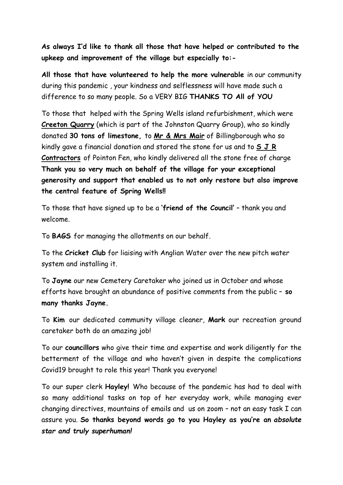**As always I'd like to thank all those that have helped or contributed to the upkeep and improvement of the village but especially to:-**

**All those that have volunteered to help the more vulnerable** in our community during this pandemic , your kindness and selflessness will have made such a difference to so many people. So a VERY BIG **THANKS TO All of YOU**

To those that helped with the Spring Wells island refurbishment, which were **Creeton Quarry** (which is part of the Johnston Quarry Group), who so kindly donated **30 tons of limestone,** to **Mr & Mrs Mair** of Billingborough who so kindly gave a financial donation and stored the stone for us and to **S J R Contractors** of Pointon Fen, who kindly delivered all the stone free of charge **Thank you so very much on behalf of the village for your exceptional generosity and support that enabled us to not only restore but also improve the central feature of Spring Wells!!** 

To those that have signed up to be a **'friend of the Council'** – thank you and welcome.

To **BAGS** for managing the allotments on our behalf.

To the **Cricket Club** for liaising with Anglian Water over the new pitch water system and installing it.

To **Jayne** our new Cemetery Caretaker who joined us in October and whose efforts have brought an abundance of positive comments from the public – **so many thanks Jayne.**

To **Kim** our dedicated community village cleaner, **Mark** our recreation ground caretaker both do an amazing job!

To our **councillors** who give their time and expertise and work diligently for the betterment of the village and who haven't given in despite the complications Covid19 brought to role this year! Thank you everyone!

To our super clerk **Hayley!** Who because of the pandemic has had to deal with so many additional tasks on top of her everyday work, while managing ever changing directives, mountains of emails and us on zoom – not an easy task I can assure you. **So thanks beyond words go to you Hayley as you're an** *absolute star and truly superhuman!*